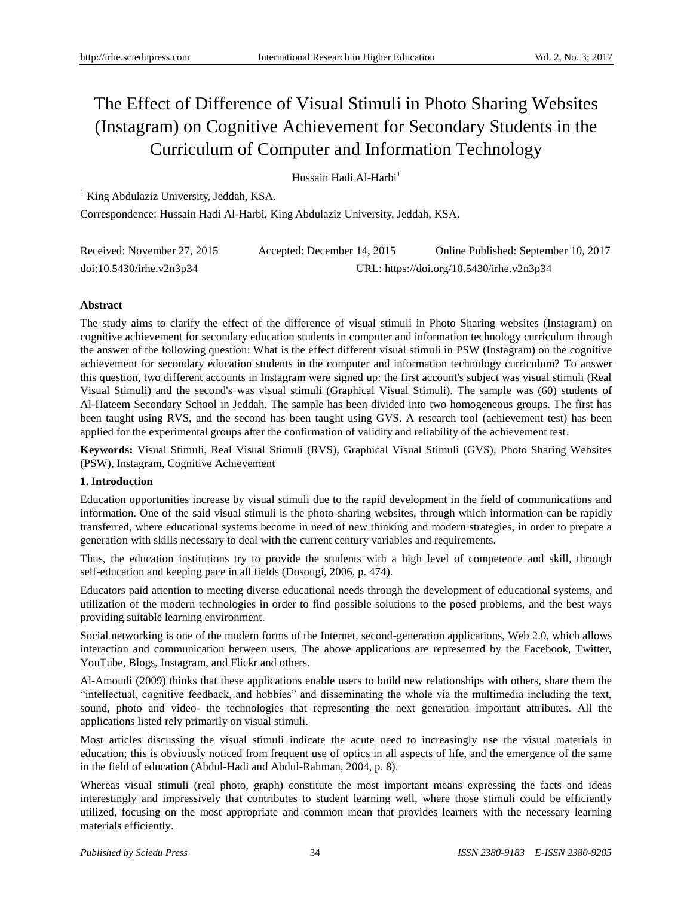# The Effect of Difference of Visual Stimuli in Photo Sharing Websites (Instagram) on Cognitive Achievement for Secondary Students in the Curriculum of Computer and Information Technology

Hussain Hadi Al-Harbi<sup>1</sup>

<sup>1</sup> King Abdulaziz University, Jeddah, KSA.

Correspondence: Hussain Hadi Al-Harbi, King Abdulaziz University, Jeddah, KSA.

| Received: November 27, 2015 | Accepted: December 14, 2015               | Online Published: September 10, 2017 |  |
|-----------------------------|-------------------------------------------|--------------------------------------|--|
| doi:10.5430/irhe.v2n3p34    | URL: https://doi.org/10.5430/irhe.v2n3p34 |                                      |  |

#### **Abstract**

The study aims to clarify the effect of the difference of visual stimuli in Photo Sharing websites (Instagram) on cognitive achievement for secondary education students in computer and information technology curriculum through the answer of the following question: What is the effect different visual stimuli in PSW (Instagram) on the cognitive achievement for secondary education students in the computer and information technology curriculum? To answer this question, two different accounts in Instagram were signed up: the first account's subject was visual stimuli (Real Visual Stimuli) and the second's was visual stimuli (Graphical Visual Stimuli). The sample was (60) students of Al-Hateem Secondary School in Jeddah. The sample has been divided into two homogeneous groups. The first has been taught using RVS, and the second has been taught using GVS. A research tool (achievement test) has been applied for the experimental groups after the confirmation of validity and reliability of the achievement test.

**Keywords:** Visual Stimuli, Real Visual Stimuli (RVS), Graphical Visual Stimuli (GVS), Photo Sharing Websites (PSW), Instagram, Cognitive Achievement

#### **1. Introduction**

Education opportunities increase by visual stimuli due to the rapid development in the field of communications and information. One of the said visual stimuli is the photo-sharing websites, through which information can be rapidly transferred, where educational systems become in need of new thinking and modern strategies, in order to prepare a generation with skills necessary to deal with the current century variables and requirements.

Thus, the education institutions try to provide the students with a high level of competence and skill, through self-education and keeping pace in all fields (Dosougi, 2006, p. 474).

Educators paid attention to meeting diverse educational needs through the development of educational systems, and utilization of the modern technologies in order to find possible solutions to the posed problems, and the best ways providing suitable learning environment.

Social networking is one of the modern forms of the Internet, second-generation applications, Web 2.0, which allows interaction and communication between users. The above applications are represented by the Facebook, Twitter, YouTube, Blogs, Instagram, and Flickr and others.

Al-Amoudi (2009) thinks that these applications enable users to build new relationships with others, share them the "intellectual, cognitive feedback, and hobbies" and disseminating the whole via the multimedia including the text, sound, photo and video- the technologies that representing the next generation important attributes. All the applications listed rely primarily on visual stimuli.

Most articles discussing the visual stimuli indicate the acute need to increasingly use the visual materials in education; this is obviously noticed from frequent use of optics in all aspects of life, and the emergence of the same in the field of education (Abdul-Hadi and Abdul-Rahman, 2004, p. 8).

Whereas visual stimuli (real photo, graph) constitute the most important means expressing the facts and ideas interestingly and impressively that contributes to student learning well, where those stimuli could be efficiently utilized, focusing on the most appropriate and common mean that provides learners with the necessary learning materials efficiently.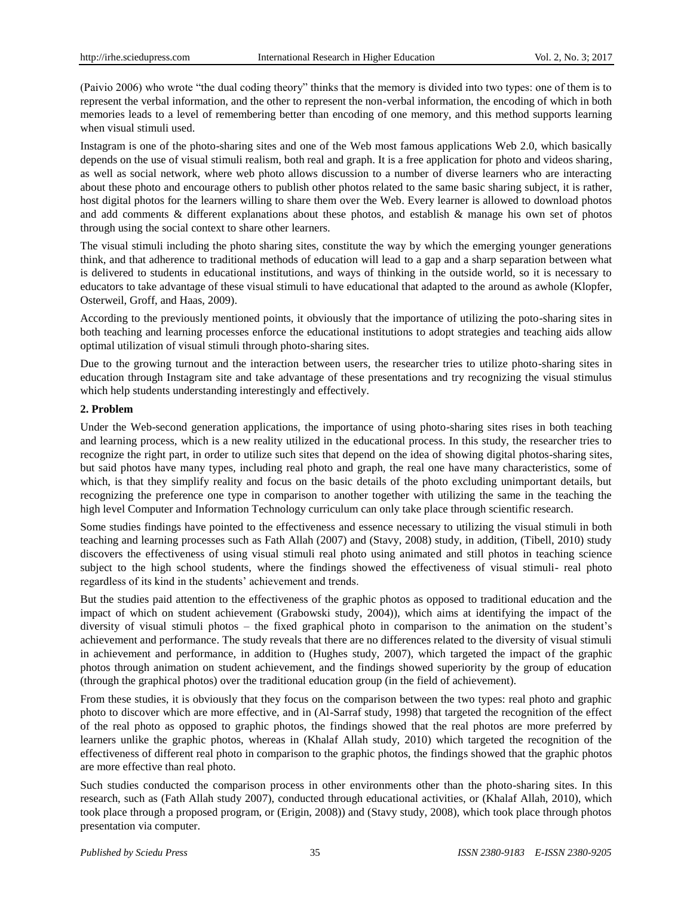(Paivio 2006) who wrote "the dual coding theory" thinks that the memory is divided into two types: one of them is to represent the verbal information, and the other to represent the non-verbal information, the encoding of which in both memories leads to a level of remembering better than encoding of one memory, and this method supports learning when visual stimuli used.

Instagram is one of the photo-sharing sites and one of the Web most famous applications Web 2.0, which basically depends on the use of visual stimuli realism, both real and graph. It is a free application for photo and videos sharing, as well as social network, where web photo allows discussion to a number of diverse learners who are interacting about these photo and encourage others to publish other photos related to the same basic sharing subject, it is rather, host digital photos for the learners willing to share them over the Web. Every learner is allowed to download photos and add comments & different explanations about these photos, and establish & manage his own set of photos through using the social context to share other learners.

The visual stimuli including the photo sharing sites, constitute the way by which the emerging younger generations think, and that adherence to traditional methods of education will lead to a gap and a sharp separation between what is delivered to students in educational institutions, and ways of thinking in the outside world, so it is necessary to educators to take advantage of these visual stimuli to have educational that adapted to the around as awhole (Klopfer, Osterweil, Groff, and Haas, 2009).

According to the previously mentioned points, it obviously that the importance of utilizing the poto-sharing sites in both teaching and learning processes enforce the educational institutions to adopt strategies and teaching aids allow optimal utilization of visual stimuli through photo-sharing sites.

Due to the growing turnout and the interaction between users, the researcher tries to utilize photo-sharing sites in education through Instagram site and take advantage of these presentations and try recognizing the visual stimulus which help students understanding interestingly and effectively.

#### **2. Problem**

Under the Web-second generation applications, the importance of using photo-sharing sites rises in both teaching and learning process, which is a new reality utilized in the educational process. In this study, the researcher tries to recognize the right part, in order to utilize such sites that depend on the idea of showing digital photos-sharing sites, but said photos have many types, including real photo and graph, the real one have many characteristics, some of which, is that they simplify reality and focus on the basic details of the photo excluding unimportant details, but recognizing the preference one type in comparison to another together with utilizing the same in the teaching the high level Computer and Information Technology curriculum can only take place through scientific research.

Some studies findings have pointed to the effectiveness and essence necessary to utilizing the visual stimuli in both teaching and learning processes such as Fath Allah (2007) and (Stavy, 2008) study, in addition, (Tibell, 2010) study discovers the effectiveness of using visual stimuli real photo using animated and still photos in teaching science subject to the high school students, where the findings showed the effectiveness of visual stimuli- real photo regardless of its kind in the students' achievement and trends.

But the studies paid attention to the effectiveness of the graphic photos as opposed to traditional education and the impact of which on student achievement (Grabowski study, 2004)), which aims at identifying the impact of the diversity of visual stimuli photos – the fixed graphical photo in comparison to the animation on the student's achievement and performance. The study reveals that there are no differences related to the diversity of visual stimuli in achievement and performance, in addition to (Hughes study, 2007), which targeted the impact of the graphic photos through animation on student achievement, and the findings showed superiority by the group of education (through the graphical photos) over the traditional education group (in the field of achievement).

From these studies, it is obviously that they focus on the comparison between the two types: real photo and graphic photo to discover which are more effective, and in (Al-Sarraf study, 1998) that targeted the recognition of the effect of the real photo as opposed to graphic photos, the findings showed that the real photos are more preferred by learners unlike the graphic photos, whereas in (Khalaf Allah study, 2010) which targeted the recognition of the effectiveness of different real photo in comparison to the graphic photos, the findings showed that the graphic photos are more effective than real photo.

Such studies conducted the comparison process in other environments other than the photo-sharing sites. In this research, such as (Fath Allah study 2007), conducted through educational activities, or (Khalaf Allah, 2010), which took place through a proposed program, or (Erigin, 2008)) and (Stavy study, 2008), which took place through photos presentation via computer.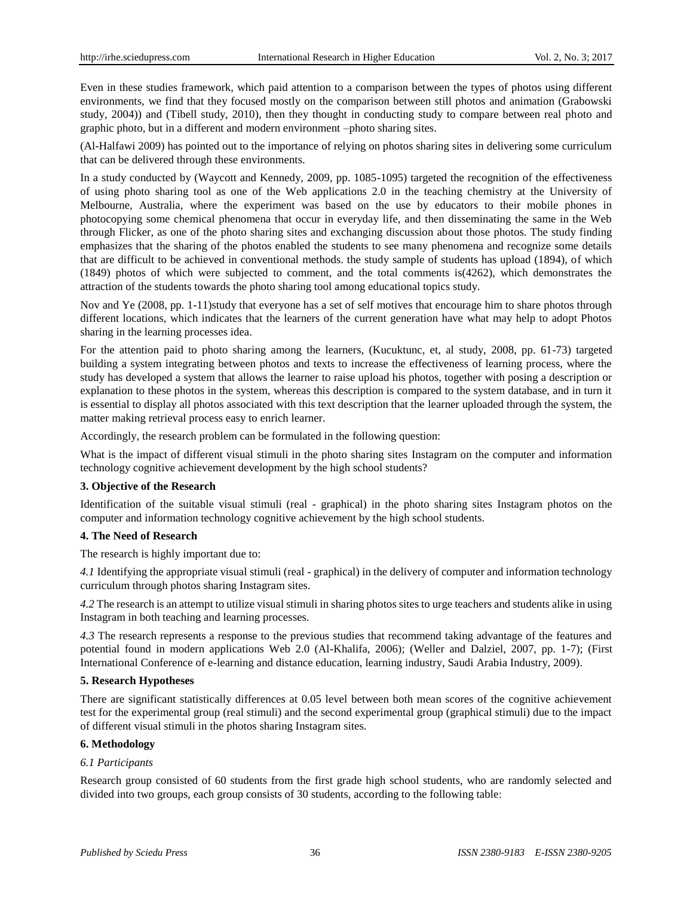Even in these studies framework, which paid attention to a comparison between the types of photos using different environments, we find that they focused mostly on the comparison between still photos and animation (Grabowski study, 2004)) and (Tibell study, 2010), then they thought in conducting study to compare between real photo and graphic photo, but in a different and modern environment –photo sharing sites.

(Al-Halfawi 2009) has pointed out to the importance of relying on photos sharing sites in delivering some curriculum that can be delivered through these environments.

In a study conducted by (Waycott and Kennedy, 2009, pp. 1085-1095) targeted the recognition of the effectiveness of using photo sharing tool as one of the Web applications 2.0 in the teaching chemistry at the University of Melbourne, Australia, where the experiment was based on the use by educators to their mobile phones in photocopying some chemical phenomena that occur in everyday life, and then disseminating the same in the Web through Flicker, as one of the photo sharing sites and exchanging discussion about those photos. The study finding emphasizes that the sharing of the photos enabled the students to see many phenomena and recognize some details that are difficult to be achieved in conventional methods. the study sample of students has upload (1894), of which (1849) photos of which were subjected to comment, and the total comments is(4262), which demonstrates the attraction of the students towards the photo sharing tool among educational topics study.

Nov and Ye (2008, pp. 1-11)study that everyone has a set of self motives that encourage him to share photos through different locations, which indicates that the learners of the current generation have what may help to adopt Photos sharing in the learning processes idea.

For the attention paid to photo sharing among the learners, (Kucuktunc, et, al study, 2008, pp. 61-73) targeted building a system integrating between photos and texts to increase the effectiveness of learning process, where the study has developed a system that allows the learner to raise upload his photos, together with posing a description or explanation to these photos in the system, whereas this description is compared to the system database, and in turn it is essential to display all photos associated with this text description that the learner uploaded through the system, the matter making retrieval process easy to enrich learner.

Accordingly, the research problem can be formulated in the following question:

What is the impact of different visual stimuli in the photo sharing sites Instagram on the computer and information technology cognitive achievement development by the high school students?

#### **3. Objective of the Research**

Identification of the suitable visual stimuli (real - graphical) in the photo sharing sites Instagram photos on the computer and information technology cognitive achievement by the high school students.

#### **4. The Need of Research**

The research is highly important due to:

*4.1* Identifying the appropriate visual stimuli (real - graphical) in the delivery of computer and information technology curriculum through photos sharing Instagram sites.

*4.2* The research is an attempt to utilize visual stimuli in sharing photos sites to urge teachers and students alike in using Instagram in both teaching and learning processes.

*4.3* The research represents a response to the previous studies that recommend taking advantage of the features and potential found in modern applications Web 2.0 (Al-Khalifa, 2006); (Weller and Dalziel, 2007, pp. 1-7); (First International Conference of e-learning and distance education, learning industry, Saudi Arabia Industry, 2009).

#### **5. Research Hypotheses**

There are significant statistically differences at 0.05 level between both mean scores of the cognitive achievement test for the experimental group (real stimuli) and the second experimental group (graphical stimuli) due to the impact of different visual stimuli in the photos sharing Instagram sites.

#### **6. Methodology**

#### *6.1 Participants*

Research group consisted of 60 students from the first grade high school students, who are randomly selected and divided into two groups, each group consists of 30 students, according to the following table: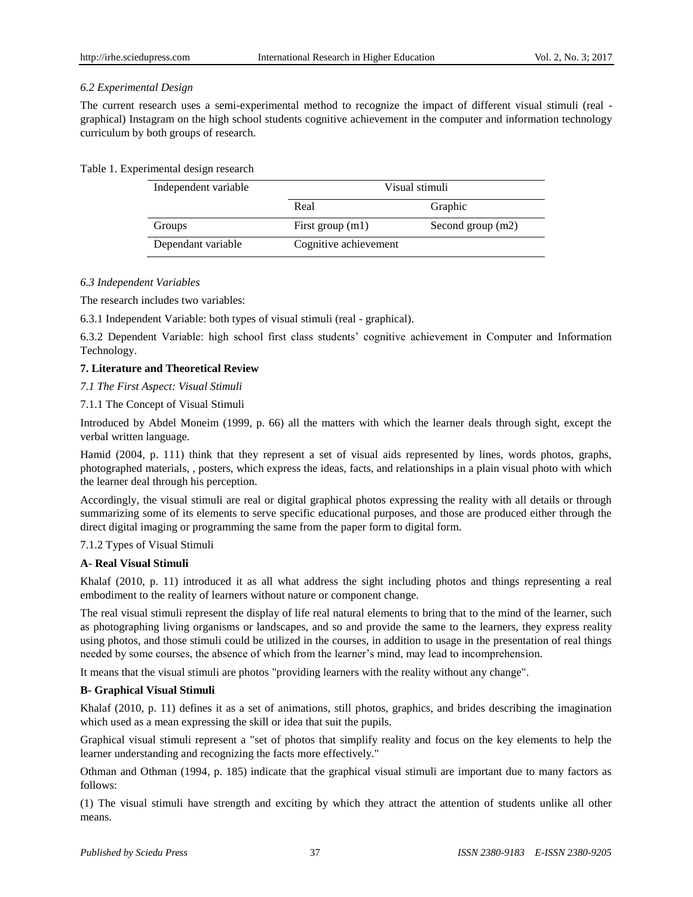## *6.2 Experimental Design*

The current research uses a semi-experimental method to recognize the impact of different visual stimuli (real graphical) Instagram on the high school students cognitive achievement in the computer and information technology curriculum by both groups of research.

Table 1. Experimental design research

| Independent variable | Visual stimuli        |                     |  |  |
|----------------------|-----------------------|---------------------|--|--|
|                      | Real                  | Graphic             |  |  |
| Groups               | First group $(m1)$    | Second group $(m2)$ |  |  |
| Dependant variable   | Cognitive achievement |                     |  |  |

## *6.3 Independent Variables*

The research includes two variables:

6.3.1 Independent Variable: both types of visual stimuli (real - graphical).

6.3.2 Dependent Variable: high school first class students' cognitive achievement in Computer and Information Technology.

# **7. Literature and Theoretical Review**

*7.1 The First Aspect: Visual Stimuli*

7.1.1 The Concept of Visual Stimuli

Introduced by Abdel Moneim (1999, p. 66) all the matters with which the learner deals through sight, except the verbal written language.

Hamid (2004, p. 111) think that they represent a set of visual aids represented by lines, words photos, graphs, photographed materials, , posters, which express the ideas, facts, and relationships in a plain visual photo with which the learner deal through his perception.

Accordingly, the visual stimuli are real or digital graphical photos expressing the reality with all details or through summarizing some of its elements to serve specific educational purposes, and those are produced either through the direct digital imaging or programming the same from the paper form to digital form.

#### 7.1.2 Types of Visual Stimuli

# **A- Real Visual Stimuli**

Khalaf (2010, p. 11) introduced it as all what address the sight including photos and things representing a real embodiment to the reality of learners without nature or component change.

The real visual stimuli represent the display of life real natural elements to bring that to the mind of the learner, such as photographing living organisms or landscapes, and so and provide the same to the learners, they express reality using photos, and those stimuli could be utilized in the courses, in addition to usage in the presentation of real things needed by some courses, the absence of which from the learner's mind, may lead to incomprehension.

It means that the visual stimuli are photos "providing learners with the reality without any change".

#### **B- Graphical Visual Stimuli**

Khalaf (2010, p. 11) defines it as a set of animations, still photos, graphics, and brides describing the imagination which used as a mean expressing the skill or idea that suit the pupils.

Graphical visual stimuli represent a "set of photos that simplify reality and focus on the key elements to help the learner understanding and recognizing the facts more effectively."

Othman and Othman (1994, p. 185) indicate that the graphical visual stimuli are important due to many factors as follows:

(1) The visual stimuli have strength and exciting by which they attract the attention of students unlike all other means.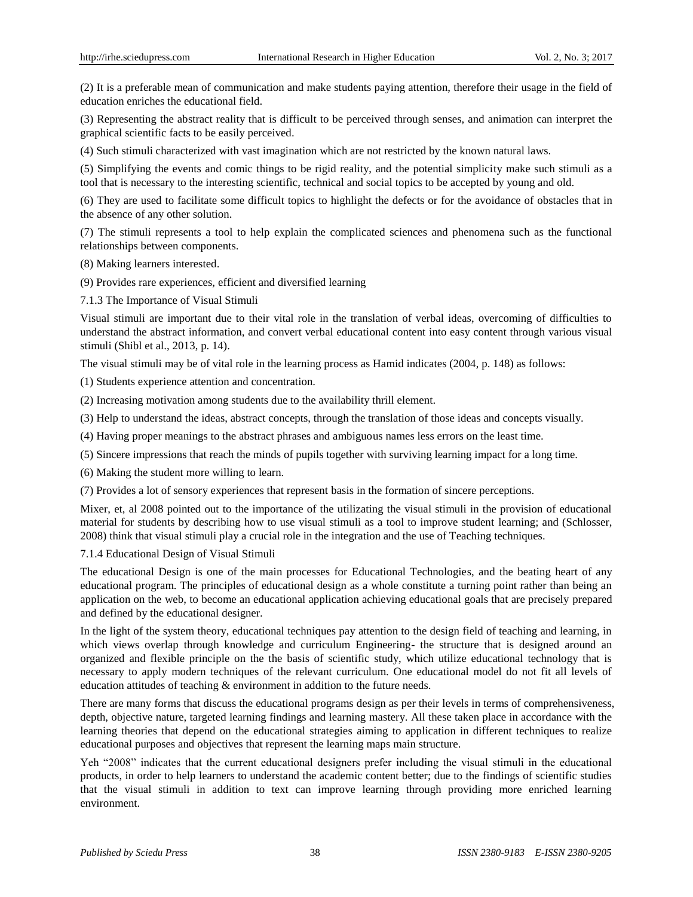(2) It is a preferable mean of communication and make students paying attention, therefore their usage in the field of education enriches the educational field.

(3) Representing the abstract reality that is difficult to be perceived through senses, and animation can interpret the graphical scientific facts to be easily perceived.

(4) Such stimuli characterized with vast imagination which are not restricted by the known natural laws.

(5) Simplifying the events and comic things to be rigid reality, and the potential simplicity make such stimuli as a tool that is necessary to the interesting scientific, technical and social topics to be accepted by young and old.

(6) They are used to facilitate some difficult topics to highlight the defects or for the avoidance of obstacles that in the absence of any other solution.

(7) The stimuli represents a tool to help explain the complicated sciences and phenomena such as the functional relationships between components.

(8) Making learners interested.

(9) Provides rare experiences, efficient and diversified learning

7.1.3 The Importance of Visual Stimuli

Visual stimuli are important due to their vital role in the translation of verbal ideas, overcoming of difficulties to understand the abstract information, and convert verbal educational content into easy content through various visual stimuli (Shibl et al., 2013, p. 14).

The visual stimuli may be of vital role in the learning process as Hamid indicates (2004, p. 148) as follows:

(1) Students experience attention and concentration.

(2) Increasing motivation among students due to the availability thrill element.

(3) Help to understand the ideas, abstract concepts, through the translation of those ideas and concepts visually.

(4) Having proper meanings to the abstract phrases and ambiguous names less errors on the least time.

(5) Sincere impressions that reach the minds of pupils together with surviving learning impact for a long time.

(6) Making the student more willing to learn.

(7) Provides a lot of sensory experiences that represent basis in the formation of sincere perceptions.

Mixer, et, al 2008 pointed out to the importance of the utilizating the visual stimuli in the provision of educational material for students by describing how to use visual stimuli as a tool to improve student learning; and (Schlosser, 2008) think that visual stimuli play a crucial role in the integration and the use of Teaching techniques.

#### 7.1.4 Educational Design of Visual Stimuli

The educational Design is one of the main processes for Educational Technologies, and the beating heart of any educational program. The principles of educational design as a whole constitute a turning point rather than being an application on the web, to become an educational application achieving educational goals that are precisely prepared and defined by the educational designer.

In the light of the system theory, educational techniques pay attention to the design field of teaching and learning, in which views overlap through knowledge and curriculum Engineering- the structure that is designed around an organized and flexible principle on the the basis of scientific study, which utilize educational technology that is necessary to apply modern techniques of the relevant curriculum. One educational model do not fit all levels of education attitudes of teaching & environment in addition to the future needs.

There are many forms that discuss the educational programs design as per their levels in terms of comprehensiveness, depth, objective nature, targeted learning findings and learning mastery. All these taken place in accordance with the learning theories that depend on the educational strategies aiming to application in different techniques to realize educational purposes and objectives that represent the learning maps main structure.

Yeh "2008" indicates that the current educational designers prefer including the visual stimuli in the educational products, in order to help learners to understand the academic content better; due to the findings of scientific studies that the visual stimuli in addition to text can improve learning through providing more enriched learning environment.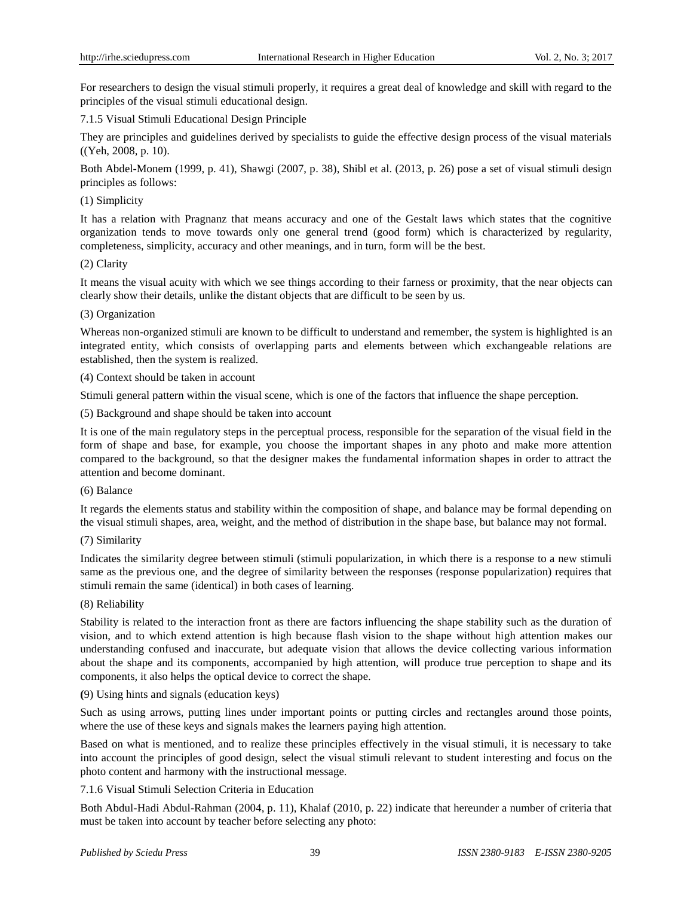For researchers to design the visual stimuli properly, it requires a great deal of knowledge and skill with regard to the principles of the visual stimuli educational design.

7.1.5 Visual Stimuli Educational Design Principle

They are principles and guidelines derived by specialists to guide the effective design process of the visual materials ((Yeh, 2008, p. 10).

Both Abdel-Monem (1999, p. 41), Shawgi (2007, p. 38), Shibl et al. (2013, p. 26) pose a set of visual stimuli design principles as follows:

### (1) Simplicity

It has a relation with Pragnanz that means accuracy and one of the Gestalt laws which states that the cognitive organization tends to move towards only one general trend (good form) which is characterized by regularity, completeness, simplicity, accuracy and other meanings, and in turn, form will be the best.

## (2) Clarity

It means the visual acuity with which we see things according to their farness or proximity, that the near objects can clearly show their details, unlike the distant objects that are difficult to be seen by us.

## (3) Organization

Whereas non-organized stimuli are known to be difficult to understand and remember, the system is highlighted is an integrated entity, which consists of overlapping parts and elements between which exchangeable relations are established, then the system is realized.

(4) Context should be taken in account

Stimuli general pattern within the visual scene, which is one of the factors that influence the shape perception.

(5) Background and shape should be taken into account

It is one of the main regulatory steps in the perceptual process, responsible for the separation of the visual field in the form of shape and base, for example, you choose the important shapes in any photo and make more attention compared to the background, so that the designer makes the fundamental information shapes in order to attract the attention and become dominant.

#### (6) Balance

It regards the elements status and stability within the composition of shape, and balance may be formal depending on the visual stimuli shapes, area, weight, and the method of distribution in the shape base, but balance may not formal.

# (7) Similarity

Indicates the similarity degree between stimuli (stimuli popularization, in which there is a response to a new stimuli same as the previous one, and the degree of similarity between the responses (response popularization) requires that stimuli remain the same (identical) in both cases of learning.

# (8) Reliability

Stability is related to the interaction front as there are factors influencing the shape stability such as the duration of vision, and to which extend attention is high because flash vision to the shape without high attention makes our understanding confused and inaccurate, but adequate vision that allows the device collecting various information about the shape and its components, accompanied by high attention, will produce true perception to shape and its components, it also helps the optical device to correct the shape.

#### **(**9) Using hints and signals (education keys)

Such as using arrows, putting lines under important points or putting circles and rectangles around those points, where the use of these keys and signals makes the learners paying high attention.

Based on what is mentioned, and to realize these principles effectively in the visual stimuli, it is necessary to take into account the principles of good design, select the visual stimuli relevant to student interesting and focus on the photo content and harmony with the instructional message.

# 7.1.6 Visual Stimuli Selection Criteria in Education

Both Abdul-Hadi Abdul-Rahman (2004, p. 11), Khalaf (2010, p. 22) indicate that hereunder a number of criteria that must be taken into account by teacher before selecting any photo: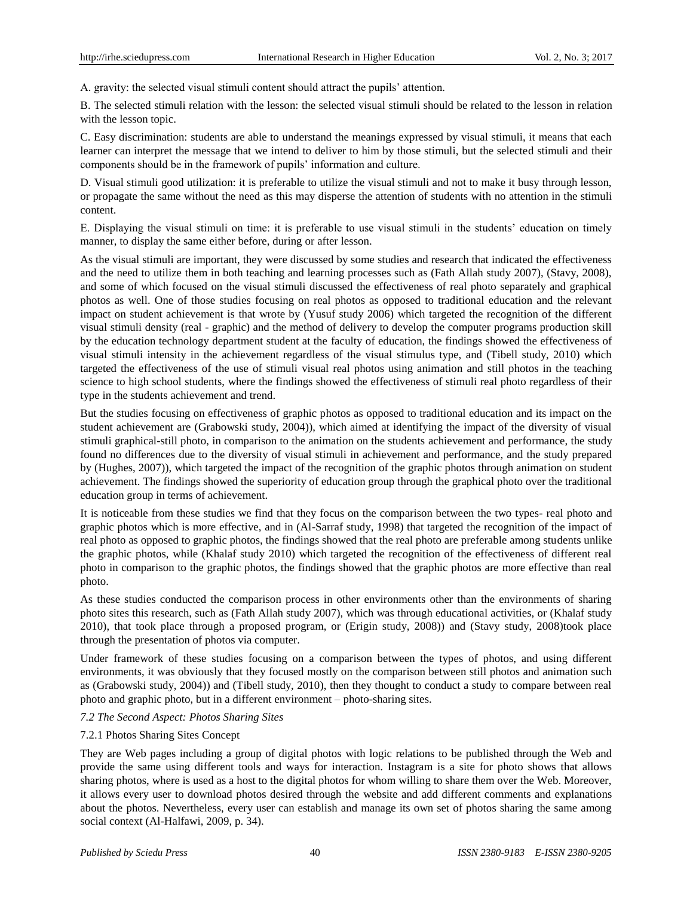A. gravity: the selected visual stimuli content should attract the pupils' attention.

B. The selected stimuli relation with the lesson: the selected visual stimuli should be related to the lesson in relation with the lesson topic.

C. Easy discrimination: students are able to understand the meanings expressed by visual stimuli, it means that each learner can interpret the message that we intend to deliver to him by those stimuli, but the selected stimuli and their components should be in the framework of pupils' information and culture.

D. Visual stimuli good utilization: it is preferable to utilize the visual stimuli and not to make it busy through lesson, or propagate the same without the need as this may disperse the attention of students with no attention in the stimuli content.

E. Displaying the visual stimuli on time: it is preferable to use visual stimuli in the students' education on timely manner, to display the same either before, during or after lesson.

As the visual stimuli are important, they were discussed by some studies and research that indicated the effectiveness and the need to utilize them in both teaching and learning processes such as (Fath Allah study 2007), (Stavy, 2008), and some of which focused on the visual stimuli discussed the effectiveness of real photo separately and graphical photos as well. One of those studies focusing on real photos as opposed to traditional education and the relevant impact on student achievement is that wrote by (Yusuf study 2006) which targeted the recognition of the different visual stimuli density (real - graphic) and the method of delivery to develop the computer programs production skill by the education technology department student at the faculty of education, the findings showed the effectiveness of visual stimuli intensity in the achievement regardless of the visual stimulus type, and (Tibell study, 2010) which targeted the effectiveness of the use of stimuli visual real photos using animation and still photos in the teaching science to high school students, where the findings showed the effectiveness of stimuli real photo regardless of their type in the students achievement and trend.

But the studies focusing on effectiveness of graphic photos as opposed to traditional education and its impact on the student achievement are (Grabowski study, 2004)), which aimed at identifying the impact of the diversity of visual stimuli graphical-still photo, in comparison to the animation on the students achievement and performance, the study found no differences due to the diversity of visual stimuli in achievement and performance, and the study prepared by (Hughes, 2007)), which targeted the impact of the recognition of the graphic photos through animation on student achievement. The findings showed the superiority of education group through the graphical photo over the traditional education group in terms of achievement.

It is noticeable from these studies we find that they focus on the comparison between the two types- real photo and graphic photos which is more effective, and in (Al-Sarraf study, 1998) that targeted the recognition of the impact of real photo as opposed to graphic photos, the findings showed that the real photo are preferable among students unlike the graphic photos, while (Khalaf study 2010) which targeted the recognition of the effectiveness of different real photo in comparison to the graphic photos, the findings showed that the graphic photos are more effective than real photo.

As these studies conducted the comparison process in other environments other than the environments of sharing photo sites this research, such as (Fath Allah study 2007), which was through educational activities, or (Khalaf study 2010), that took place through a proposed program, or (Erigin study, 2008)) and (Stavy study, 2008)took place through the presentation of photos via computer.

Under framework of these studies focusing on a comparison between the types of photos, and using different environments, it was obviously that they focused mostly on the comparison between still photos and animation such as (Grabowski study, 2004)) and (Tibell study, 2010), then they thought to conduct a study to compare between real photo and graphic photo, but in a different environment – photo-sharing sites.

#### *7.2 The Second Aspect: Photos Sharing Sites*

#### 7.2.1 Photos Sharing Sites Concept

They are Web pages including a group of digital photos with logic relations to be published through the Web and provide the same using different tools and ways for interaction. Instagram is a site for photo shows that allows sharing photos, where is used as a host to the digital photos for whom willing to share them over the Web. Moreover, it allows every user to download photos desired through the website and add different comments and explanations about the photos. Nevertheless, every user can establish and manage its own set of photos sharing the same among social context (Al-Halfawi, 2009, p. 34).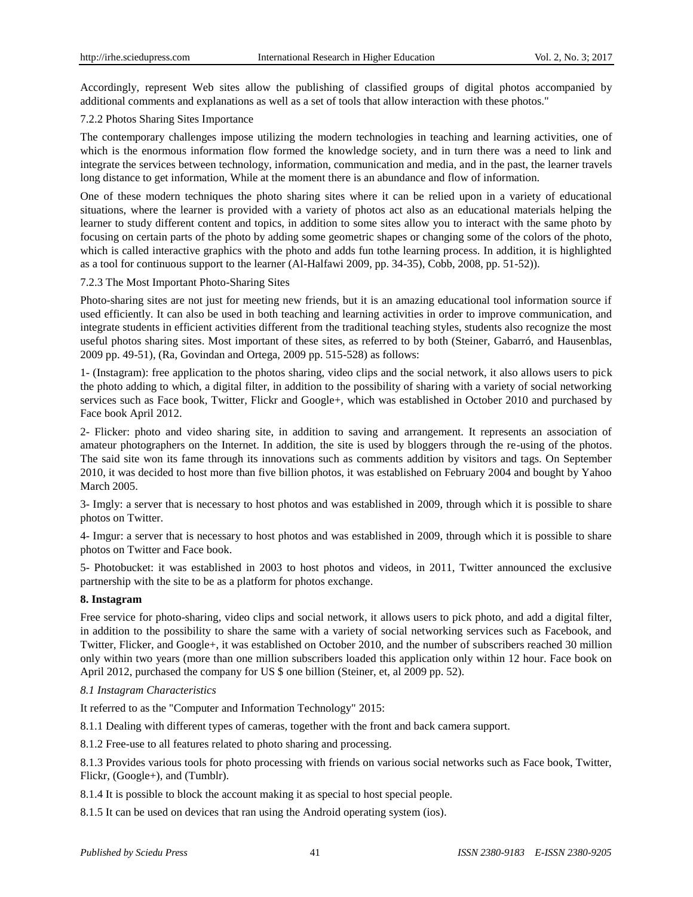Accordingly, represent Web sites allow the publishing of classified groups of digital photos accompanied by additional comments and explanations as well as a set of tools that allow interaction with these photos."

#### 7.2.2 Photos Sharing Sites Importance

The contemporary challenges impose utilizing the modern technologies in teaching and learning activities, one of which is the enormous information flow formed the knowledge society, and in turn there was a need to link and integrate the services between technology, information, communication and media, and in the past, the learner travels long distance to get information, While at the moment there is an abundance and flow of information.

One of these modern techniques the photo sharing sites where it can be relied upon in a variety of educational situations, where the learner is provided with a variety of photos act also as an educational materials helping the learner to study different content and topics, in addition to some sites allow you to interact with the same photo by focusing on certain parts of the photo by adding some geometric shapes or changing some of the colors of the photo, which is called interactive graphics with the photo and adds fun tothe learning process. In addition, it is highlighted as a tool for continuous support to the learner (Al-Halfawi 2009, pp. 34-35), Cobb, 2008, pp. 51-52)).

## 7.2.3 The Most Important Photo-Sharing Sites

Photo-sharing sites are not just for meeting new friends, but it is an amazing educational tool information source if used efficiently. It can also be used in both teaching and learning activities in order to improve communication, and integrate students in efficient activities different from the traditional teaching styles, students also recognize the most useful photos sharing sites. Most important of these sites, as referred to by both (Steiner, Gabarró, and Hausenblas, 2009 pp. 49-51), (Ra, Govindan and Ortega, 2009 pp. 515-528) as follows:

1- (Instagram): free application to the photos sharing, video clips and the social network, it also allows users to pick the photo adding to which, a digital filter, in addition to the possibility of sharing with a variety of social networking services such as Face book, Twitter, Flickr and Google+, which was established in October 2010 and purchased by Face book April 2012.

2- Flicker: photo and video sharing site, in addition to saving and arrangement. It represents an association of amateur photographers on the Internet. In addition, the site is used by bloggers through the re-using of the photos. The said site won its fame through its innovations such as comments addition by visitors and tags. On September 2010, it was decided to host more than five billion photos, it was established on February 2004 and bought by Yahoo March 2005.

3- Imgly: a server that is necessary to host photos and was established in 2009, through which it is possible to share photos on Twitter.

4- Imgur: a server that is necessary to host photos and was established in 2009, through which it is possible to share photos on Twitter and Face book.

5- Photobucket: it was established in 2003 to host photos and videos, in 2011, Twitter announced the exclusive partnership with the site to be as a platform for photos exchange.

#### **8. Instagram**

Free service for photo-sharing, video clips and social network, it allows users to pick photo, and add a digital filter, in addition to the possibility to share the same with a variety of social networking services such as Facebook, and Twitter, Flicker, and Google+, it was established on October 2010, and the number of subscribers reached 30 million only within two years (more than one million subscribers loaded this application only within 12 hour. Face book on April 2012, purchased the company for US \$ one billion (Steiner, et, al 2009 pp. 52).

#### *8.1 Instagram Characteristics*

It referred to as the "Computer and Information Technology" 2015:

8.1.1 Dealing with different types of cameras, together with the front and back camera support.

8.1.2 Free-use to all features related to photo sharing and processing.

8.1.3 Provides various tools for photo processing with friends on various social networks such as Face book, Twitter, Flickr, (Google+), and (Tumblr).

8.1.4 It is possible to block the account making it as special to host special people.

8.1.5 It can be used on devices that ran using the Android operating system (ios).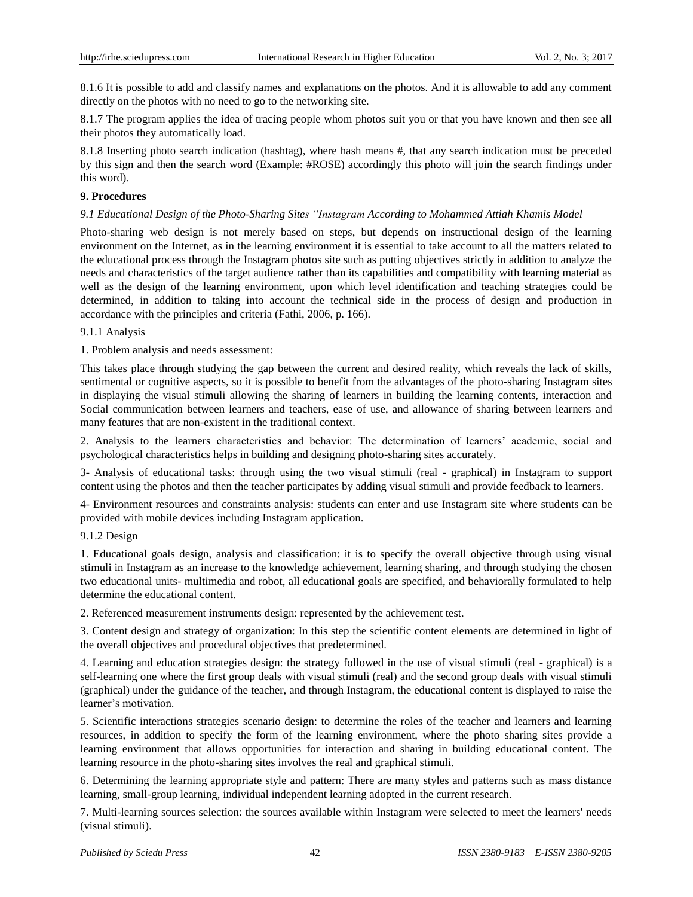8.1.6 It is possible to add and classify names and explanations on the photos. And it is allowable to add any comment directly on the photos with no need to go to the networking site.

8.1.7 The program applies the idea of tracing people whom photos suit you or that you have known and then see all their photos they automatically load.

8.1.8 Inserting photo search indication (hashtag), where hash means #, that any search indication must be preceded by this sign and then the search word (Example: #ROSE) accordingly this photo will join the search findings under this word).

# **9. Procedures**

# *9.1 Educational Design of the Photo-Sharing Sites "Instagram According to Mohammed Attiah Khamis Model*

Photo-sharing web design is not merely based on steps, but depends on instructional design of the learning environment on the Internet, as in the learning environment it is essential to take account to all the matters related to the educational process through the Instagram photos site such as putting objectives strictly in addition to analyze the needs and characteristics of the target audience rather than its capabilities and compatibility with learning material as well as the design of the learning environment, upon which level identification and teaching strategies could be determined, in addition to taking into account the technical side in the process of design and production in accordance with the principles and criteria (Fathi, 2006, p. 166).

# 9.1.1 Analysis

1. Problem analysis and needs assessment:

This takes place through studying the gap between the current and desired reality, which reveals the lack of skills, sentimental or cognitive aspects, so it is possible to benefit from the advantages of the photo-sharing Instagram sites in displaying the visual stimuli allowing the sharing of learners in building the learning contents, interaction and Social communication between learners and teachers, ease of use, and allowance of sharing between learners and many features that are non-existent in the traditional context.

2. Analysis to the learners characteristics and behavior: The determination of learners' academic, social and psychological characteristics helps in building and designing photo-sharing sites accurately.

3- Analysis of educational tasks: through using the two visual stimuli (real - graphical) in Instagram to support content using the photos and then the teacher participates by adding visual stimuli and provide feedback to learners.

4- Environment resources and constraints analysis: students can enter and use Instagram site where students can be provided with mobile devices including Instagram application.

# 9.1.2 Design

1. Educational goals design, analysis and classification: it is to specify the overall objective through using visual stimuli in Instagram as an increase to the knowledge achievement, learning sharing, and through studying the chosen two educational units- multimedia and robot, all educational goals are specified, and behaviorally formulated to help determine the educational content.

2. Referenced measurement instruments design: represented by the achievement test.

3. Content design and strategy of organization: In this step the scientific content elements are determined in light of the overall objectives and procedural objectives that predetermined.

4. Learning and education strategies design: the strategy followed in the use of visual stimuli (real - graphical) is a self-learning one where the first group deals with visual stimuli (real) and the second group deals with visual stimuli (graphical) under the guidance of the teacher, and through Instagram, the educational content is displayed to raise the learner's motivation.

5. Scientific interactions strategies scenario design: to determine the roles of the teacher and learners and learning resources, in addition to specify the form of the learning environment, where the photo sharing sites provide a learning environment that allows opportunities for interaction and sharing in building educational content. The learning resource in the photo-sharing sites involves the real and graphical stimuli.

6. Determining the learning appropriate style and pattern: There are many styles and patterns such as mass distance learning, small-group learning, individual independent learning adopted in the current research.

7. Multi-learning sources selection: the sources available within Instagram were selected to meet the learners' needs (visual stimuli).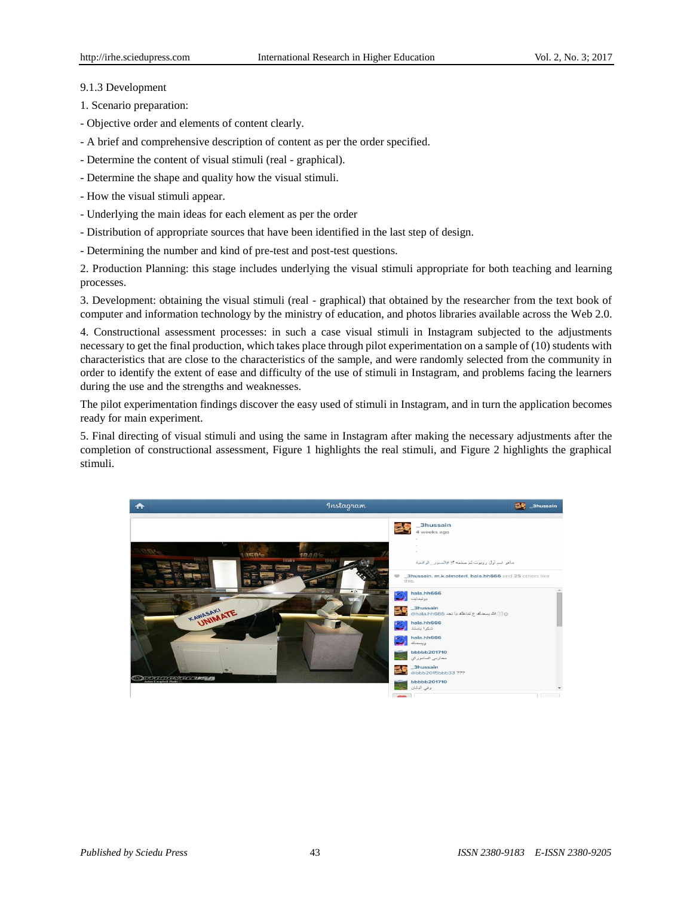9.1.3 Development

1. Scenario preparation:

- Objective order and elements of content clearly.
- A brief and comprehensive description of content as per the order specified.
- Determine the content of visual stimuli (real graphical).
- Determine the shape and quality how the visual stimuli.
- How the visual stimuli appear.
- Underlying the main ideas for each element as per the order
- Distribution of appropriate sources that have been identified in the last step of design.
- Determining the number and kind of pre-test and post-test questions.

2. Production Planning: this stage includes underlying the visual stimuli appropriate for both teaching and learning processes.

3. Development: obtaining the visual stimuli (real - graphical) that obtained by the researcher from the text book of computer and information technology by the ministry of education, and photos libraries available across the Web 2.0.

4. Constructional assessment processes: in such a case visual stimuli in Instagram subjected to the adjustments necessary to get the final production, which takes place through pilot experimentation on a sample of (10) students with characteristics that are close to the characteristics of the sample, and were randomly selected from the community in order to identify the extent of ease and difficulty of the use of stimuli in Instagram, and problems facing the learners during the use and the strengths and weaknesses.

The pilot experimentation findings discover the easy used of stimuli in Instagram, and in turn the application becomes ready for main experiment.

5. Final directing of visual stimuli and using the same in Instagram after making the necessary adjustments after the completion of constructional assessment, Figure 1 highlights the real stimuli, and Figure 2 highlights the graphical stimuli.

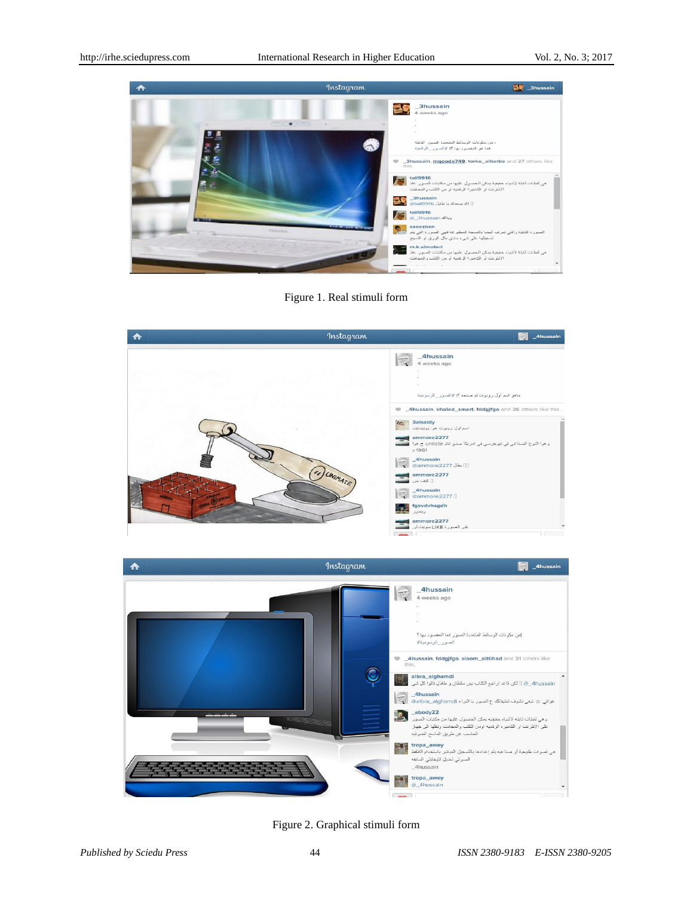

Figure 1. Real stimuli form





Figure 2. Graphical stimuli form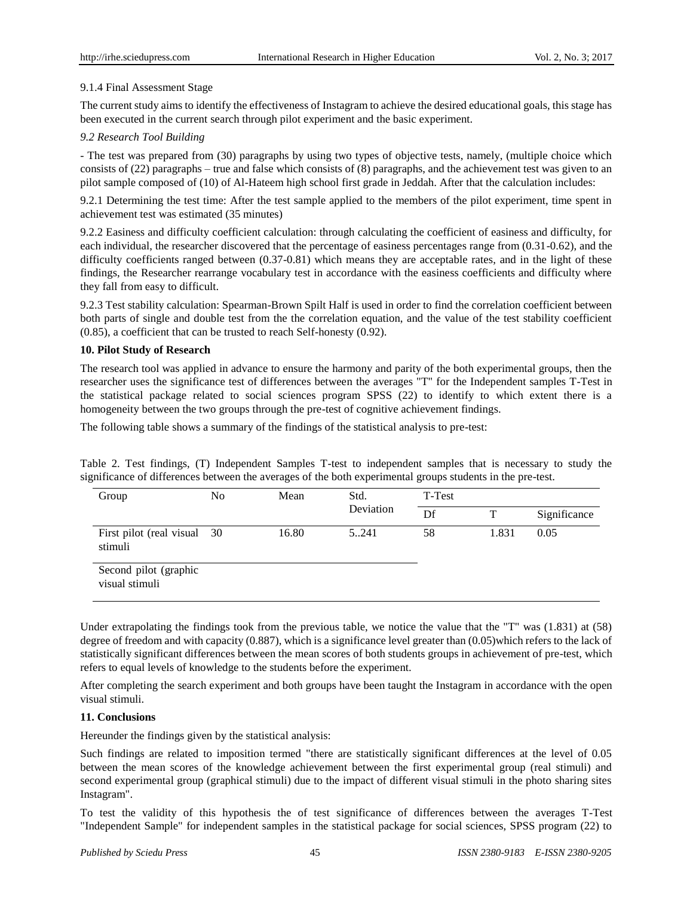## 9.1.4 Final Assessment Stage

The current study aims to identify the effectiveness of Instagram to achieve the desired educational goals, this stage has been executed in the current search through pilot experiment and the basic experiment.

## *9.2 Research Tool Building*

- The test was prepared from (30) paragraphs by using two types of objective tests, namely, (multiple choice which consists of (22) paragraphs – true and false which consists of (8) paragraphs, and the achievement test was given to an pilot sample composed of (10) of Al-Hateem high school first grade in Jeddah. After that the calculation includes:

9.2.1 Determining the test time: After the test sample applied to the members of the pilot experiment, time spent in achievement test was estimated (35 minutes)

9.2.2 Easiness and difficulty coefficient calculation: through calculating the coefficient of easiness and difficulty, for each individual, the researcher discovered that the percentage of easiness percentages range from (0.31-0.62), and the difficulty coefficients ranged between (0.37-0.81) which means they are acceptable rates, and in the light of these findings, the Researcher rearrange vocabulary test in accordance with the easiness coefficients and difficulty where they fall from easy to difficult.

9.2.3 Test stability calculation: Spearman-Brown Spilt Half is used in order to find the correlation coefficient between both parts of single and double test from the the correlation equation, and the value of the test stability coefficient (0.85), a coefficient that can be trusted to reach Self-honesty (0.92).

## **10. Pilot Study of Research**

The research tool was applied in advance to ensure the harmony and parity of the both experimental groups, then the researcher uses the significance test of differences between the averages "T" for the Independent samples T-Test in the statistical package related to social sciences program SPSS (22) to identify to which extent there is a homogeneity between the two groups through the pre-test of cognitive achievement findings.

The following table shows a summary of the findings of the statistical analysis to pre-test:

Table 2. Test findings, (T) Independent Samples T-test to independent samples that is necessary to study the significance of differences between the averages of the both experimental groups students in the pre-test.

| Group                                   | No | Mean  | Std.<br>Deviation | T-Test |       |              |
|-----------------------------------------|----|-------|-------------------|--------|-------|--------------|
|                                         |    |       |                   | Df     | т     | Significance |
| First pilot (real visual 30<br>stimuli  |    | 16.80 | 5.241             | 58     | 1.831 | 0.05         |
| Second pilot (graphic<br>visual stimuli |    |       |                   |        |       |              |

Under extrapolating the findings took from the previous table, we notice the value that the "T" was (1.831) at (58) degree of freedom and with capacity (0.887), which is a significance level greater than (0.05)which refers to the lack of statistically significant differences between the mean scores of both students groups in achievement of pre-test, which refers to equal levels of knowledge to the students before the experiment.

After completing the search experiment and both groups have been taught the Instagram in accordance with the open visual stimuli.

# **11. Conclusions**

Hereunder the findings given by the statistical analysis:

Such findings are related to imposition termed "there are statistically significant differences at the level of 0.05 between the mean scores of the knowledge achievement between the first experimental group (real stimuli) and second experimental group (graphical stimuli) due to the impact of different visual stimuli in the photo sharing sites Instagram".

To test the validity of this hypothesis the of test significance of differences between the averages T-Test "Independent Sample" for independent samples in the statistical package for social sciences, SPSS program (22) to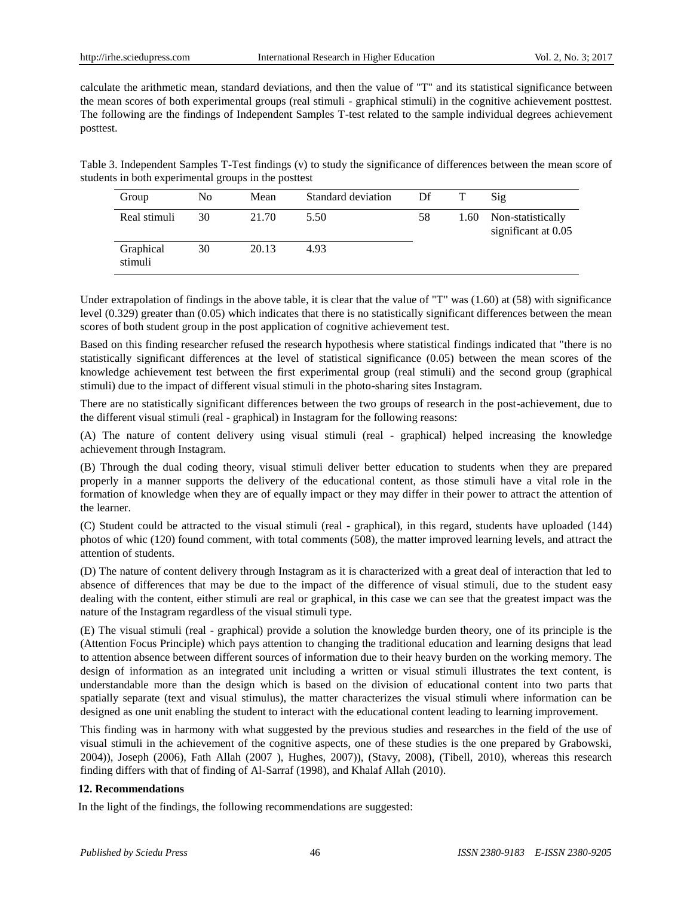calculate the arithmetic mean, standard deviations, and then the value of "T" and its statistical significance between the mean scores of both experimental groups (real stimuli - graphical stimuli) in the cognitive achievement posttest. The following are the findings of Independent Samples T-test related to the sample individual degrees achievement posttest.

Table 3. Independent Samples T-Test findings (v) to study the significance of differences between the mean score of students in both experimental groups in the posttest

| Group                | N <sub>0</sub> | Mean  | Standard deviation | Df |      | Sig                                      |
|----------------------|----------------|-------|--------------------|----|------|------------------------------------------|
| Real stimuli         | 30             | 21.70 | 5.50               | 58 | 1.60 | Non-statistically<br>significant at 0.05 |
| Graphical<br>stimuli | 30             | 20.13 | 4.93               |    |      |                                          |

Under extrapolation of findings in the above table, it is clear that the value of "T" was  $(1.60)$  at  $(58)$  with significance level (0.329) greater than (0.05) which indicates that there is no statistically significant differences between the mean scores of both student group in the post application of cognitive achievement test.

Based on this finding researcher refused the research hypothesis where statistical findings indicated that "there is no statistically significant differences at the level of statistical significance (0.05) between the mean scores of the knowledge achievement test between the first experimental group (real stimuli) and the second group (graphical stimuli) due to the impact of different visual stimuli in the photo-sharing sites Instagram.

There are no statistically significant differences between the two groups of research in the post-achievement, due to the different visual stimuli (real - graphical) in Instagram for the following reasons:

(A) The nature of content delivery using visual stimuli (real - graphical) helped increasing the knowledge achievement through Instagram.

(B) Through the dual coding theory, visual stimuli deliver better education to students when they are prepared properly in a manner supports the delivery of the educational content, as those stimuli have a vital role in the formation of knowledge when they are of equally impact or they may differ in their power to attract the attention of the learner.

(C) Student could be attracted to the visual stimuli (real - graphical), in this regard, students have uploaded (144) photos of whic (120) found comment, with total comments (508), the matter improved learning levels, and attract the attention of students.

(D) The nature of content delivery through Instagram as it is characterized with a great deal of interaction that led to absence of differences that may be due to the impact of the difference of visual stimuli, due to the student easy dealing with the content, either stimuli are real or graphical, in this case we can see that the greatest impact was the nature of the Instagram regardless of the visual stimuli type.

(E) The visual stimuli (real - graphical) provide a solution the knowledge burden theory, one of its principle is the (Attention Focus Principle) which pays attention to changing the traditional education and learning designs that lead to attention absence between different sources of information due to their heavy burden on the working memory. The design of information as an integrated unit including a written or visual stimuli illustrates the text content, is understandable more than the design which is based on the division of educational content into two parts that spatially separate (text and visual stimulus), the matter characterizes the visual stimuli where information can be designed as one unit enabling the student to interact with the educational content leading to learning improvement.

This finding was in harmony with what suggested by the previous studies and researches in the field of the use of visual stimuli in the achievement of the cognitive aspects, one of these studies is the one prepared by Grabowski, 2004)), Joseph (2006), Fath Allah (2007 ), Hughes, 2007)), (Stavy, 2008), (Tibell, 2010), whereas this research finding differs with that of finding of Al-Sarraf (1998), and Khalaf Allah (2010).

# **12. Recommendations**

In the light of the findings, the following recommendations are suggested: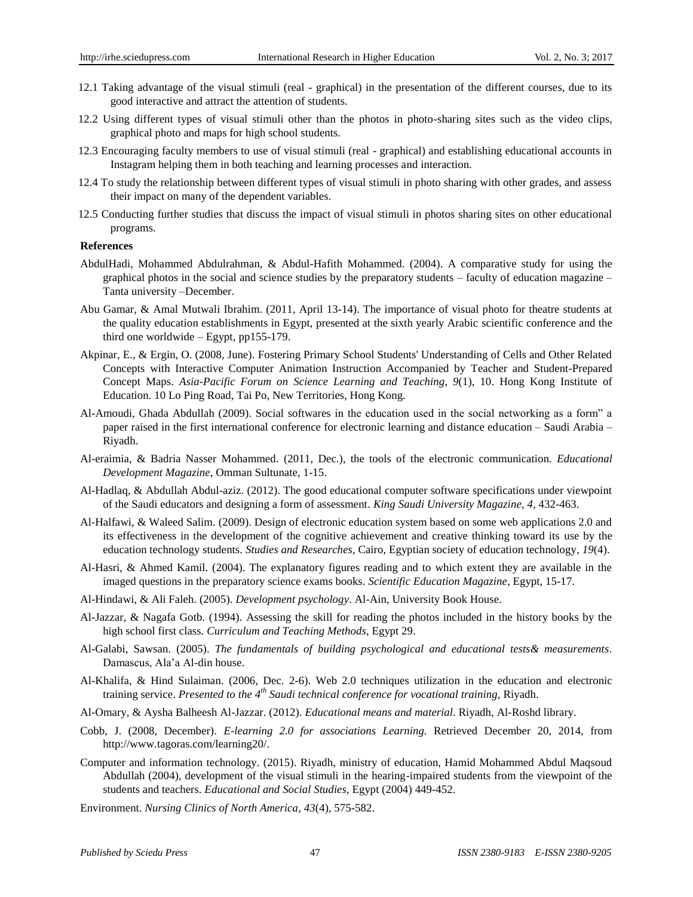- 12.1 Taking advantage of the visual stimuli (real graphical) in the presentation of the different courses, due to its good interactive and attract the attention of students.
- 12.2 Using different types of visual stimuli other than the photos in photo-sharing sites such as the video clips, graphical photo and maps for high school students.
- 12.3 Encouraging faculty members to use of visual stimuli (real graphical) and establishing educational accounts in Instagram helping them in both teaching and learning processes and interaction.
- 12.4 To study the relationship between different types of visual stimuli in photo sharing with other grades, and assess their impact on many of the dependent variables.
- 12.5 Conducting further studies that discuss the impact of visual stimuli in photos sharing sites on other educational programs.

#### **References**

- AbdulHadi, Mohammed Abdulrahman, & Abdul-Hafith Mohammed. (2004). A comparative study for using the graphical photos in the social and science studies by the preparatory students – faculty of education magazine – Tanta university –December.
- Abu Gamar, & Amal Mutwali Ibrahim. (2011, April 13-14). The importance of visual photo for theatre students at the quality education establishments in Egypt, presented at the sixth yearly Arabic scientific conference and the third one worldwide – Egypt, pp155-179.
- Akpinar, E., & Ergin, O. (2008, June). Fostering Primary School Students' Understanding of Cells and Other Related Concepts with Interactive Computer Animation Instruction Accompanied by Teacher and Student-Prepared Concept Maps. *Asia-Pacific Forum on Science Learning and Teaching, 9*(1), 10. Hong Kong Institute of Education. 10 Lo Ping Road, Tai Po, New Territories, Hong Kong.
- Al-Amoudi, Ghada Abdullah (2009). Social softwares in the education used in the social networking as a form" a paper raised in the first international conference for electronic learning and distance education – Saudi Arabia – Riyadh.
- Al-eraimia, & Badria Nasser Mohammed. (2011, Dec.), the tools of the electronic communication. *Educational Development Magazine*, Omman Sultunate, 1-15.
- Al-Hadlaq, & Abdullah Abdul-aziz. (2012). The good educational computer software specifications under viewpoint of the Saudi educators and designing a form of assessment. *King Saudi University Magazine, 4*, 432-463.
- Al-Halfawi, & Waleed Salim. (2009). Design of electronic education system based on some web applications 2.0 and its effectiveness in the development of the cognitive achievement and creative thinking toward its use by the education technology students. *Studies and Researches*, Cairo, Egyptian society of education technology*, 19*(4).
- Al-Hasri, & Ahmed Kamil. (2004). The explanatory figures reading and to which extent they are available in the imaged questions in the preparatory science exams books. *Scientific Education Magazine*, Egypt, 15-17.
- Al-Hindawi, & Ali Faleh. (2005). *Development psychology*. Al-Ain, University Book House.
- Al-Jazzar, & Nagafa Gotb. (1994). Assessing the skill for reading the photos included in the history books by the high school first class. *Curriculum and Teaching Methods*, Egypt 29.
- Al-Galabi, Sawsan. (2005). *The fundamentals of building psychological and educational tests& measurements.* Damascus, Ala'a Al-din house.
- Al-Khalifa, & Hind Sulaiman. (2006, Dec. 2-6). Web 2.0 techniques utilization in the education and electronic training service. *Presented to the 4th Saudi technical conference for vocational training,* Riyadh.
- Al-Omary, & Aysha Balheesh Al-Jazzar. (2012). *Educational means and material*. Riyadh, Al-Roshd library.
- Cobb, J. (2008, December). *E-learning 2.0 for associations Learning.* Retrieved December 20, 2014, from http://www.tagoras.com/learning20/.
- Computer and information technology. (2015). Riyadh, ministry of education, Hamid Mohammed Abdul Maqsoud Abdullah (2004), development of the visual stimuli in the hearing-impaired students from the viewpoint of the students and teachers. *Educational and Social Studies,* Egypt (2004) 449-452.

Environment. *Nursing Clinics of North America*, *43*(4), 575-582.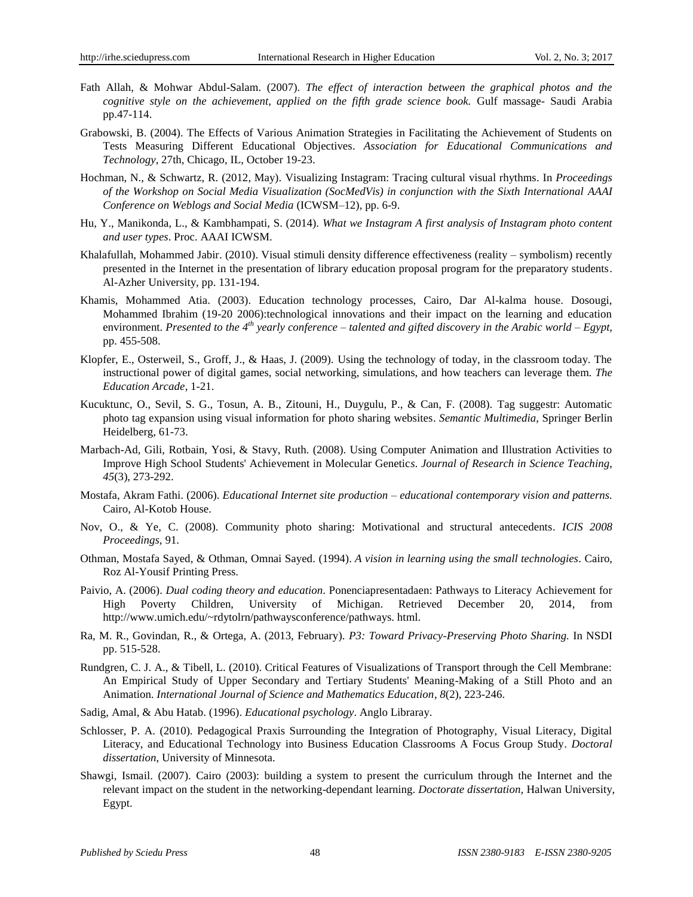- Fath Allah, & Mohwar Abdul-Salam. (2007). *The effect of interaction between the graphical photos and the cognitive style on the achievement, applied on the fifth grade science book.* Gulf massage- Saudi Arabia pp.47-114.
- Grabowski, B. (2004). The Effects of Various Animation Strategies in Facilitating the Achievement of Students on Tests Measuring Different Educational Objectives. *Association for Educational Communications and Technology*, 27th, Chicago, IL, October 19-23.
- Hochman, N., & Schwartz, R. (2012, May). Visualizing Instagram: Tracing cultural visual rhythms. In *Proceedings of the Workshop on Social Media Visualization (SocMedVis) in conjunction with the Sixth International AAAI Conference on Weblogs and Social Media* (ICWSM–12), pp. 6-9.
- Hu, Y., Manikonda, L., & Kambhampati, S. (2014). *What we Instagram A first analysis of Instagram photo content and user types*. Proc. AAAI ICWSM.
- Khalafullah, Mohammed Jabir. (2010). Visual stimuli density difference effectiveness (reality symbolism) recently presented in the Internet in the presentation of library education proposal program for the preparatory students. Al-Azher University, pp. 131-194.
- Khamis, Mohammed Atia. (2003). Education technology processes, Cairo, Dar Al-kalma house. Dosougi, Mohammed Ibrahim (19-20 2006):technological innovations and their impact on the learning and education environment. *Presented to the 4<sup>th</sup> yearly conference – talented and gifted discovery in the Arabic world – Egypt*, pp. 455-508.
- Klopfer, E., Osterweil, S., Groff, J., & Haas, J. (2009). Using the technology of today, in the classroom today. The instructional power of digital games, social networking, simulations, and how teachers can leverage them. *The Education Arcade*, 1-21.
- Kucuktunc, O., Sevil, S. G., Tosun, A. B., Zitouni, H., Duygulu, P., & Can, F. (2008). Tag suggestr: Automatic photo tag expansion using visual information for photo sharing websites. *Semantic Multimedia*, Springer Berlin Heidelberg, 61-73.
- Marbach-Ad, Gili, Rotbain, Yosi, & Stavy, Ruth. (2008). Using Computer Animation and Illustration Activities to Improve High School Students' Achievement in Molecular Genetic*s*. *Journal of Research in Science Teaching*, *45*(3), 273-292.
- Mostafa, Akram Fathi. (2006). *Educational Internet site production – educational contemporary vision and patterns.* Cairo, Al-Kotob House.
- Nov, O., & Ye, C. (2008). Community photo sharing: Motivational and structural antecedents. *ICIS 2008 Proceedings,* 91.
- Othman, Mostafa Sayed, & Othman, Omnai Sayed. (1994). *A vision in learning using the small technologies*. Cairo, Roz Al-Yousif Printing Press.
- Paivio, A. (2006). *Dual coding theory and education*. Ponenciapresentadaen: Pathways to Literacy Achievement for High Poverty Children, University of Michigan. Retrieved December 20, 2014, from http://www.umich.edu/~rdytolrn/pathwaysconference/pathways. html.
- Ra, M. R., Govindan, R., & Ortega, A. (2013, February). *P3: Toward Privacy-Preserving Photo Sharing.* In NSDI pp. 515-528.
- Rundgren, C. J. A., & Tibell, L. (2010). Critical Features of Visualizations of Transport through the Cell Membrane: An Empirical Study of Upper Secondary and Tertiary Students' Meaning-Making of a Still Photo and an Animation. *International Journal of Science and Mathematics Education*, *8*(2), 223-246.
- Sadig, Amal, & Abu Hatab. (1996). *Educational psychology*. Anglo Libraray.
- Schlosser, P. A. (2010). Pedagogical Praxis Surrounding the Integration of Photography, Visual Literacy, Digital Literacy, and Educational Technology into Business Education Classrooms A Focus Group Study. *Doctoral dissertation*, University of Minnesota.
- Shawgi, Ismail. (2007). Cairo (2003): building a system to present the curriculum through the Internet and the relevant impact on the student in the networking-dependant learning. *Doctorate dissertation,* Halwan University, Egypt.